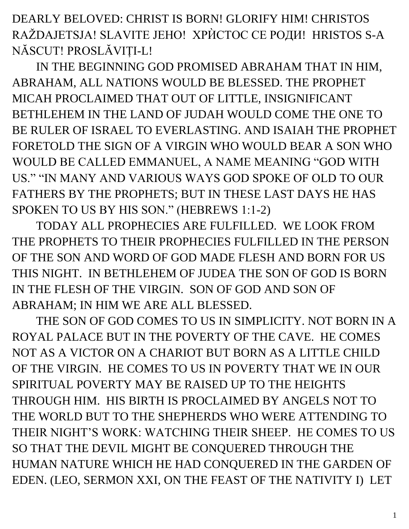DEARLY BELOVED: CHRIST IS BORN! GLORIFY HIM! CHRISTOS RAŽDAJETSJA! SLAVITE JEHO! ХРЍСТОС СЕ РОДИ! HRISTOS S-A NĂSCUT! PROSLĂVIȚI-L!

IN THE BEGINNING GOD PROMISED ABRAHAM THAT IN HIM, ABRAHAM, ALL NATIONS WOULD BE BLESSED. THE PROPHET MICAH PROCLAIMED THAT OUT OF LITTLE, INSIGNIFICANT BETHLEHEM IN THE LAND OF JUDAH WOULD COME THE ONE TO BE RULER OF ISRAEL TO EVERLASTING. AND ISAIAH THE PROPHET FORETOLD THE SIGN OF A VIRGIN WHO WOULD BEAR A SON WHO WOULD BE CALLED EMMANUEL, A NAME MEANING "GOD WITH US." "IN MANY AND VARIOUS WAYS GOD SPOKE OF OLD TO OUR FATHERS BY THE PROPHETS; BUT IN THESE LAST DAYS HE HAS SPOKEN TO US BY HIS SON." (HEBREWS 1:1-2)

TODAY ALL PROPHECIES ARE FULFILLED. WE LOOK FROM THE PROPHETS TO THEIR PROPHECIES FULFILLED IN THE PERSON OF THE SON AND WORD OF GOD MADE FLESH AND BORN FOR US THIS NIGHT. IN BETHLEHEM OF JUDEA THE SON OF GOD IS BORN IN THE FLESH OF THE VIRGIN. SON OF GOD AND SON OF ABRAHAM; IN HIM WE ARE ALL BLESSED.

THE SON OF GOD COMES TO US IN SIMPLICITY. NOT BORN IN A ROYAL PALACE BUT IN THE POVERTY OF THE CAVE. HE COMES NOT AS A VICTOR ON A CHARIOT BUT BORN AS A LITTLE CHILD OF THE VIRGIN. HE COMES TO US IN POVERTY THAT WE IN OUR SPIRITUAL POVERTY MAY BE RAISED UP TO THE HEIGHTS THROUGH HIM. HIS BIRTH IS PROCLAIMED BY ANGELS NOT TO THE WORLD BUT TO THE SHEPHERDS WHO WERE ATTENDING TO THEIR NIGHT'S WORK: WATCHING THEIR SHEEP. HE COMES TO US SO THAT THE DEVIL MIGHT BE CONQUERED THROUGH THE HUMAN NATURE WHICH HE HAD CONQUERED IN THE GARDEN OF EDEN. (LEO, SERMON XXI, ON THE FEAST OF THE NATIVITY I) LET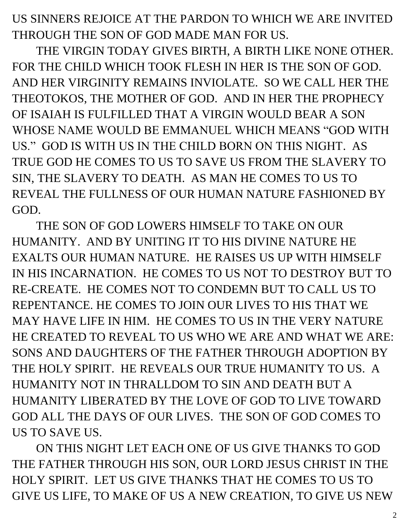US SINNERS REJOICE AT THE PARDON TO WHICH WE ARE INVITED THROUGH THE SON OF GOD MADE MAN FOR US.

THE VIRGIN TODAY GIVES BIRTH, A BIRTH LIKE NONE OTHER. FOR THE CHILD WHICH TOOK FLESH IN HER IS THE SON OF GOD. AND HER VIRGINITY REMAINS INVIOLATE. SO WE CALL HER THE THEOTOKOS, THE MOTHER OF GOD. AND IN HER THE PROPHECY OF ISAIAH IS FULFILLED THAT A VIRGIN WOULD BEAR A SON WHOSE NAME WOULD BE EMMANUEL WHICH MEANS "GOD WITH US." GOD IS WITH US IN THE CHILD BORN ON THIS NIGHT. AS TRUE GOD HE COMES TO US TO SAVE US FROM THE SLAVERY TO SIN, THE SLAVERY TO DEATH. AS MAN HE COMES TO US TO REVEAL THE FULLNESS OF OUR HUMAN NATURE FASHIONED BY GOD.

THE SON OF GOD LOWERS HIMSELF TO TAKE ON OUR HUMANITY. AND BY UNITING IT TO HIS DIVINE NATURE HE EXALTS OUR HUMAN NATURE. HE RAISES US UP WITH HIMSELF IN HIS INCARNATION. HE COMES TO US NOT TO DESTROY BUT TO RE-CREATE. HE COMES NOT TO CONDEMN BUT TO CALL US TO REPENTANCE. HE COMES TO JOIN OUR LIVES TO HIS THAT WE MAY HAVE LIFE IN HIM. HE COMES TO US IN THE VERY NATURE HE CREATED TO REVEAL TO US WHO WE ARE AND WHAT WE ARE: SONS AND DAUGHTERS OF THE FATHER THROUGH ADOPTION BY THE HOLY SPIRIT. HE REVEALS OUR TRUE HUMANITY TO US. A HUMANITY NOT IN THRALLDOM TO SIN AND DEATH BUT A HUMANITY LIBERATED BY THE LOVE OF GOD TO LIVE TOWARD GOD ALL THE DAYS OF OUR LIVES. THE SON OF GOD COMES TO US TO SAVE US.

ON THIS NIGHT LET EACH ONE OF US GIVE THANKS TO GOD THE FATHER THROUGH HIS SON, OUR LORD JESUS CHRIST IN THE HOLY SPIRIT. LET US GIVE THANKS THAT HE COMES TO US TO GIVE US LIFE, TO MAKE OF US A NEW CREATION, TO GIVE US NEW